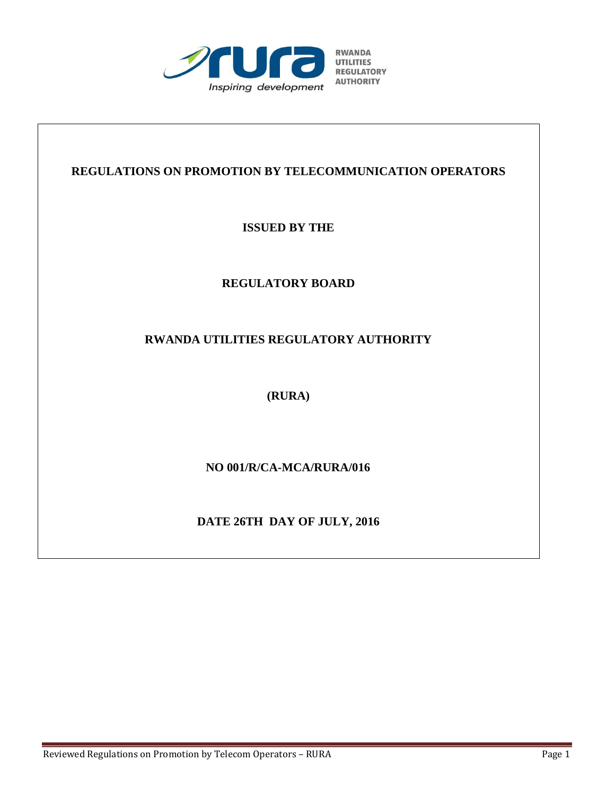

## **REGULATIONS ON PROMOTION BY TELECOMMUNICATION OPERATORS**

**ISSUED BY THE**

## **REGULATORY BOARD**

## **RWANDA UTILITIES REGULATORY AUTHORITY**

**(RURA)**

 **NO 001/R/CA-MCA/RURA/016**

**DATE 26TH DAY OF JULY, 2016**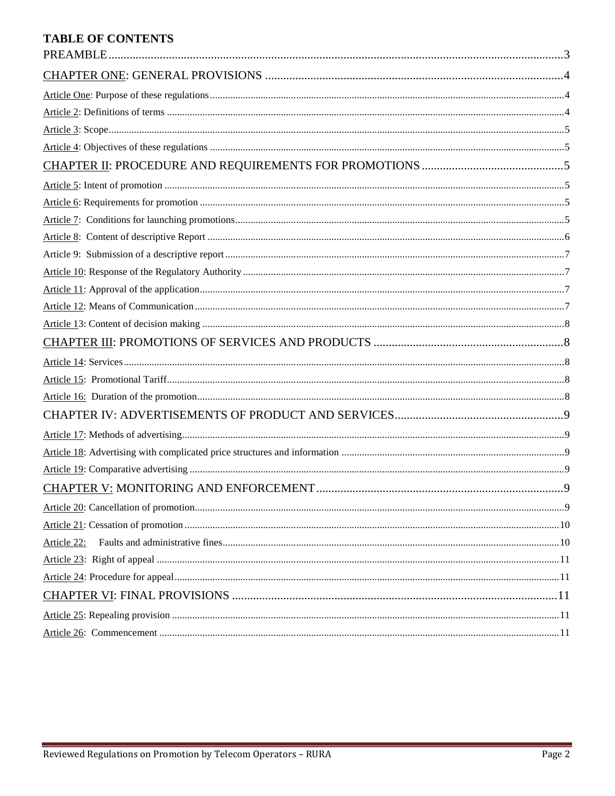## **TABLE OF CONTENTS**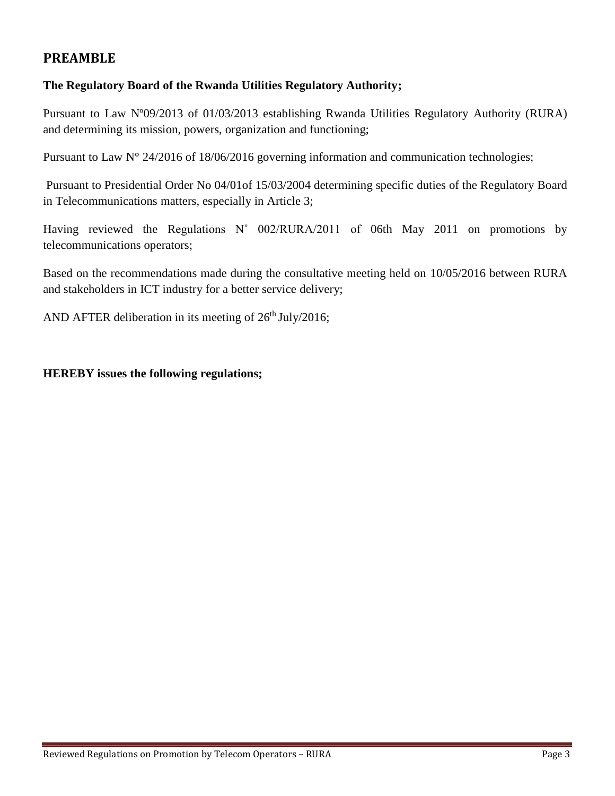## **PREAMBLE**

## **The Regulatory Board of the Rwanda Utilities Regulatory Authority;**

Pursuant to Law Nº09/2013 of 01/03/2013 establishing Rwanda Utilities Regulatory Authority (RURA) and determining its mission, powers, organization and functioning;

Pursuant to Law N° 24/2016 of 18/06/2016 governing information and communication technologies;

Pursuant to Presidential Order No 04/01of 15/03/2004 determining specific duties of the Regulatory Board in Telecommunications matters, especially in Article 3;

Having reviewed the Regulations N° 002/RURA/2011 of 06th May 2011 on promotions by telecommunications operators;

Based on the recommendations made during the consultative meeting held on 10/05/2016 between RURA and stakeholders in ICT industry for a better service delivery;

AND AFTER deliberation in its meeting of  $26<sup>th</sup>$  July/2016;

**HEREBY issues the following regulations;**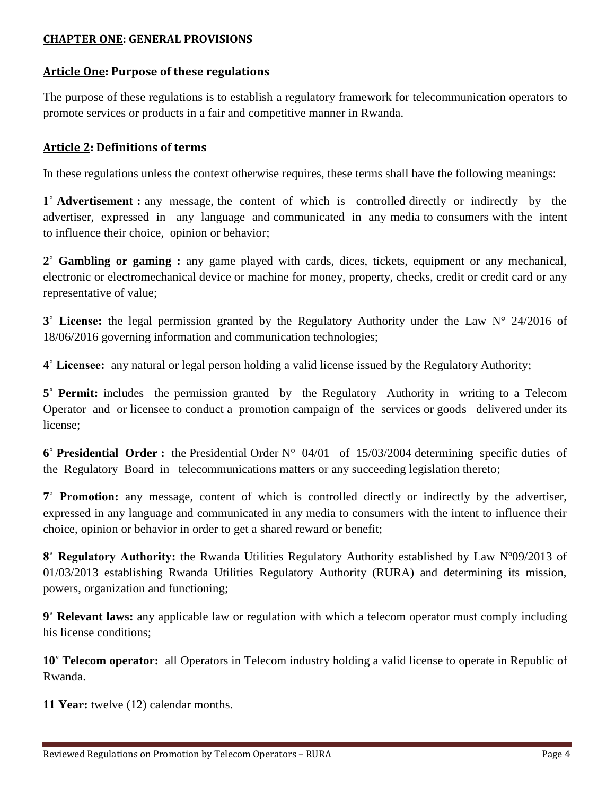## **CHAPTER ONE: GENERAL PROVISIONS**

## **Article One: Purpose of these regulations**

The purpose of these regulations is to establish a regulatory framework for telecommunication operators to promote services or products in a fair and competitive manner in Rwanda.

## **Article 2: Definitions of terms**

In these regulations unless the context otherwise requires, these terms shall have the following meanings:

**1˚ Advertisement :** any message, the content of which is controlled directly or indirectly by the advertiser, expressed in any language and communicated in any media to consumers with the intent to influence their choice, opinion or behavior;

**2˚ Gambling or gaming :** any game played with cards, dices, tickets, equipment or any mechanical, electronic or electromechanical device or machine for money, property, checks, credit or credit card or any representative of value;

**3˚ License:** the legal permission granted by the Regulatory Authority under the Law N° 24/2016 of 18/06/2016 governing information and communication technologies;

**4˚ Licensee:** any natural or legal person holding a valid license issued by the Regulatory Authority;

**5˚ Permit:** includes the permission granted by the Regulatory Authority in writing to a Telecom Operator and or licensee to conduct a promotion campaign of the services or goods delivered under its license;

**6˚ Presidential Order :** the Presidential Order N° 04/01 of 15/03/2004 determining specific duties of the Regulatory Board in telecommunications matters or any succeeding legislation thereto;

**7˚ Promotion:** any message, content of which is controlled directly or indirectly by the advertiser, expressed in any language and communicated in any media to consumers with the intent to influence their choice, opinion or behavior in order to get a shared reward or benefit;

**8˚ Regulatory Authority:** the Rwanda Utilities Regulatory Authority established by Law Nº09/2013 of 01/03/2013 establishing Rwanda Utilities Regulatory Authority (RURA) and determining its mission, powers, organization and functioning;

**9˚ Relevant laws:** any applicable law or regulation with which a telecom operator must comply including his license conditions;

**10˚ Telecom operator:** all Operators in Telecom industry holding a valid license to operate in Republic of Rwanda.

**11 Year:** twelve (12) calendar months.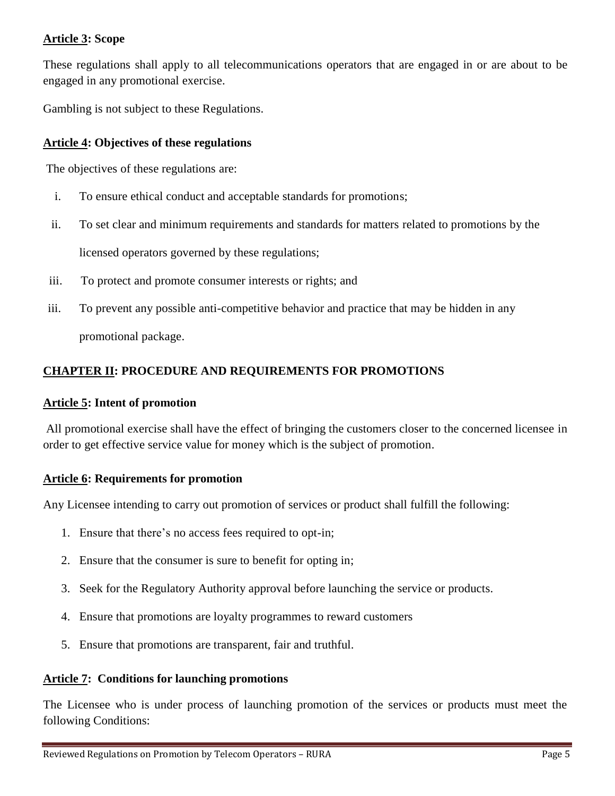## **Article 3: Scope**

These regulations shall apply to all telecommunications operators that are engaged in or are about to be engaged in any promotional exercise.

Gambling is not subject to these Regulations.

## **Article 4: Objectives of these regulations**

The objectives of these regulations are:

- i. To ensure ethical conduct and acceptable standards for promotions;
- ii. To set clear and minimum requirements and standards for matters related to promotions by the

licensed operators governed by these regulations;

- iii. To protect and promote consumer interests or rights; and
- iii. To prevent any possible anti-competitive behavior and practice that may be hidden in any

promotional package.

## **CHAPTER II: PROCEDURE AND REQUIREMENTS FOR PROMOTIONS**

### **Article 5: Intent of promotion**

All promotional exercise shall have the effect of bringing the customers closer to the concerned licensee in order to get effective service value for money which is the subject of promotion.

## **Article 6: Requirements for promotion**

Any Licensee intending to carry out promotion of services or product shall fulfill the following:

- 1. Ensure that there's no access fees required to opt-in;
- 2. Ensure that the consumer is sure to benefit for opting in;
- 3. Seek for the Regulatory Authority approval before launching the service or products.
- 4. Ensure that promotions are loyalty programmes to reward customers
- 5. Ensure that promotions are transparent, fair and truthful.

#### **Article 7: Conditions for launching promotions**

The Licensee who is under process of launching promotion of the services or products must meet the following Conditions: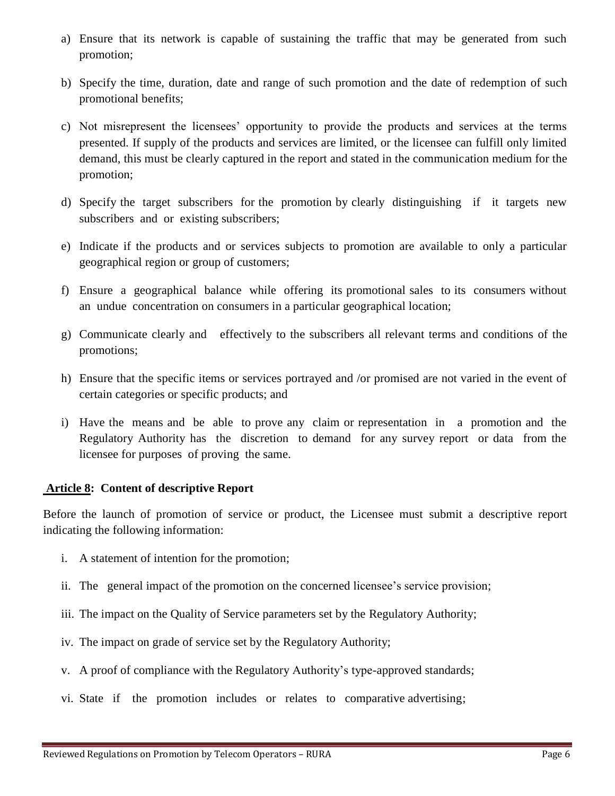- a) Ensure that its network is capable of sustaining the traffic that may be generated from such promotion;
- b) Specify the time, duration, date and range of such promotion and the date of redemption of such promotional benefits;
- c) Not misrepresent the licensees' opportunity to provide the products and services at the terms presented. If supply of the products and services are limited, or the licensee can fulfill only limited demand, this must be clearly captured in the report and stated in the communication medium for the promotion;
- d) Specify the target subscribers for the promotion by clearly distinguishing if it targets new subscribers and or existing subscribers;
- e) Indicate if the products and or services subjects to promotion are available to only a particular geographical region or group of customers;
- f) Ensure a geographical balance while offering its promotional sales to its consumers without an undue concentration on consumers in a particular geographical location;
- g) Communicate clearly and effectively to the subscribers all relevant terms and conditions of the promotions;
- h) Ensure that the specific items or services portrayed and /or promised are not varied in the event of certain categories or specific products; and
- i) Have the means and be able to prove any claim or representation in a promotion and the Regulatory Authority has the discretion to demand for any survey report or data from the licensee for purposes of proving the same.

#### **Article 8: Content of descriptive Report**

Before the launch of promotion of service or product, the Licensee must submit a descriptive report indicating the following information:

- i. A statement of intention for the promotion;
- ii. The general impact of the promotion on the concerned licensee's service provision;
- iii. The impact on the Quality of Service parameters set by the Regulatory Authority;
- iv. The impact on grade of service set by the Regulatory Authority;
- v. A proof of compliance with the Regulatory Authority's type-approved standards;
- vi. State if the promotion includes or relates to comparative advertising;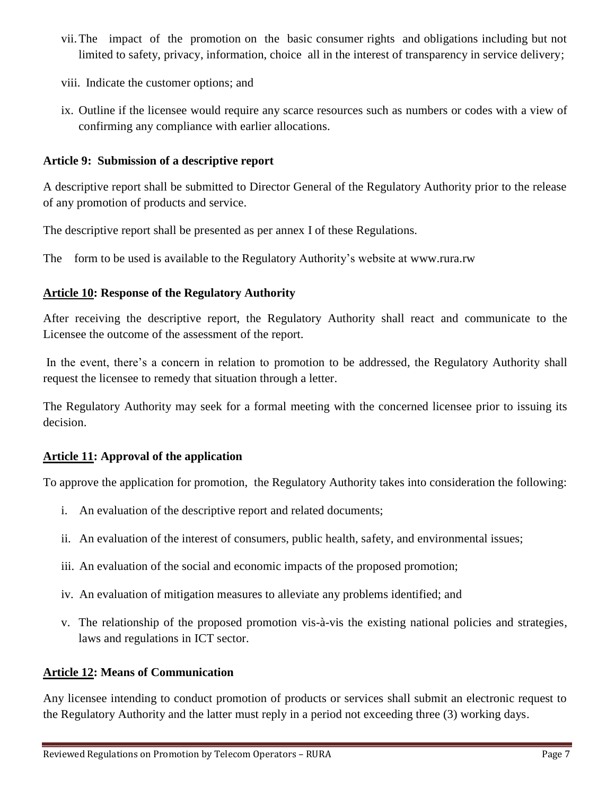- vii.The impact of the promotion on the basic consumer rights and obligations including but not limited to safety, privacy, information, choice all in the interest of transparency in service delivery;
- viii. Indicate the customer options; and
- ix. Outline if the licensee would require any scarce resources such as numbers or codes with a view of confirming any compliance with earlier allocations.

## **Article 9: Submission of a descriptive report**

A descriptive report shall be submitted to Director General of the Regulatory Authority prior to the release of any promotion of products and service.

The descriptive report shall be presented as per annex I of these Regulations.

The form to be used is available to the Regulatory Authority's website at [www.rura.rw](http://www.rura.rw/)

## **Article 10: Response of the Regulatory Authority**

After receiving the descriptive report, the Regulatory Authority shall react and communicate to the Licensee the outcome of the assessment of the report.

In the event, there's a concern in relation to promotion to be addressed, the Regulatory Authority shall request the licensee to remedy that situation through a letter.

The Regulatory Authority may seek for a formal meeting with the concerned licensee prior to issuing its decision.

## **Article 11: Approval of the application**

To approve the application for promotion, the Regulatory Authority takes into consideration the following:

- i. An evaluation of the descriptive report and related documents;
- ii. An evaluation of the interest of consumers, public health, safety, and environmental issues;
- iii. An evaluation of the social and economic impacts of the proposed promotion;
- iv. An evaluation of mitigation measures to alleviate any problems identified; and
- v. The relationship of the proposed promotion vis-à-vis the existing national policies and strategies, laws and regulations in ICT sector.

## **Article 12: Means of Communication**

Any licensee intending to conduct promotion of products or services shall submit an electronic request to the Regulatory Authority and the latter must reply in a period not exceeding three (3) working days.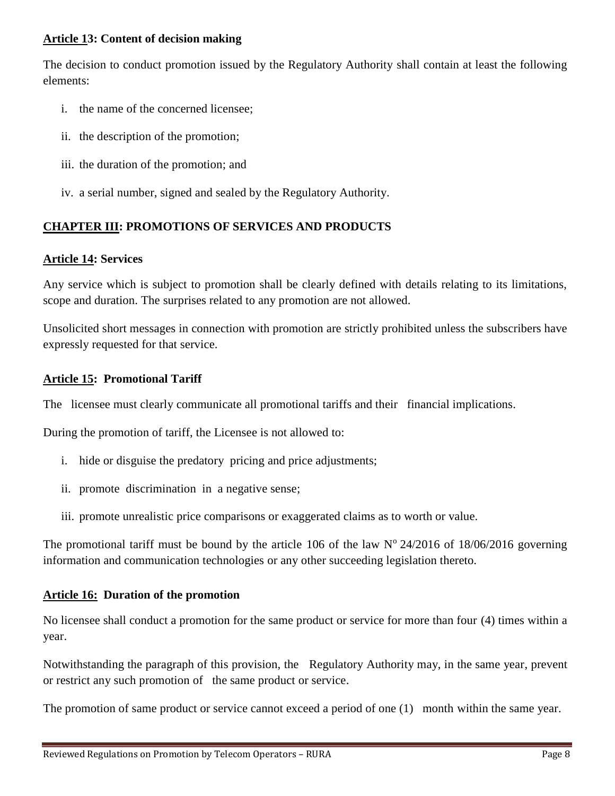## **Article 13: Content of decision making**

The decision to conduct promotion issued by the Regulatory Authority shall contain at least the following elements:

- i. the name of the concerned licensee;
- ii. the description of the promotion;
- iii. the duration of the promotion; and
- iv. a serial number, signed and sealed by the Regulatory Authority.

## **CHAPTER III: PROMOTIONS OF SERVICES AND PRODUCTS**

#### **Article 14: Services**

Any service which is subject to promotion shall be clearly defined with details relating to its limitations, scope and duration. The surprises related to any promotion are not allowed.

Unsolicited short messages in connection with promotion are strictly prohibited unless the subscribers have expressly requested for that service.

## **Article 15: Promotional Tariff**

The licensee must clearly communicate all promotional tariffs and their financial implications.

During the promotion of tariff, the Licensee is not allowed to:

- i. hide or disguise the predatory pricing and price adjustments;
- ii. promote discrimination in a negative sense;
- iii. promote unrealistic price comparisons or exaggerated claims as to worth or value.

The promotional tariff must be bound by the article 106 of the law  $N^{\circ}$  24/2016 of 18/06/2016 governing information and communication technologies or any other succeeding legislation thereto.

## **Article 16: Duration of the promotion**

No licensee shall conduct a promotion for the same product or service for more than four (4) times within a year.

Notwithstanding the paragraph of this provision, the Regulatory Authority may, in the same year, prevent or restrict any such promotion of the same product or service.

The promotion of same product or service cannot exceed a period of one (1) month within the same year.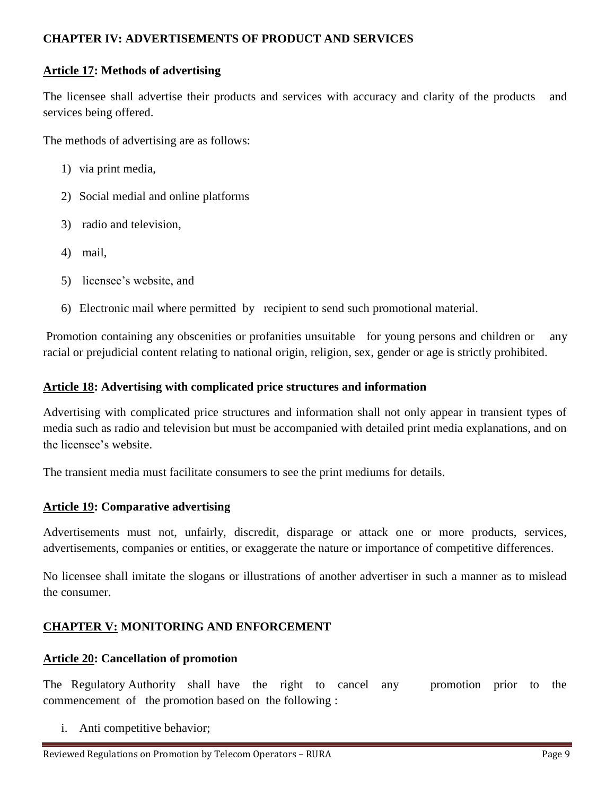## **CHAPTER IV: ADVERTISEMENTS OF PRODUCT AND SERVICES**

## **Article 17: Methods of advertising**

The licensee shall advertise their products and services with accuracy and clarity of the products and services being offered.

The methods of advertising are as follows:

- 1) via print media,
- 2) Social medial and online platforms
- 3) radio and television,
- 4) mail,
- 5) licensee's website, and
- 6) Electronic mail where permitted by recipient to send such promotional material.

Promotion containing any obscenities or profanities unsuitable for young persons and children or any racial or prejudicial content relating to national origin, religion, sex, gender or age is strictly prohibited.

## **Article 18: Advertising with complicated price structures and information**

Advertising with complicated price structures and information shall not only appear in transient types of media such as radio and television but must be accompanied with detailed print media explanations, and on the licensee's website.

The transient media must facilitate consumers to see the print mediums for details.

## **Article 19: Comparative advertising**

Advertisements must not, unfairly, discredit, disparage or attack one or more products, services, advertisements, companies or entities, or exaggerate the nature or importance of competitive differences.

No licensee shall imitate the slogans or illustrations of another advertiser in such a manner as to mislead the consumer.

## **CHAPTER V: MONITORING AND ENFORCEMENT**

## **Article 20: Cancellation of promotion**

The Regulatory Authority shall have the right to cancel any promotion prior to the commencement of the promotion based on the following :

i. Anti competitive behavior;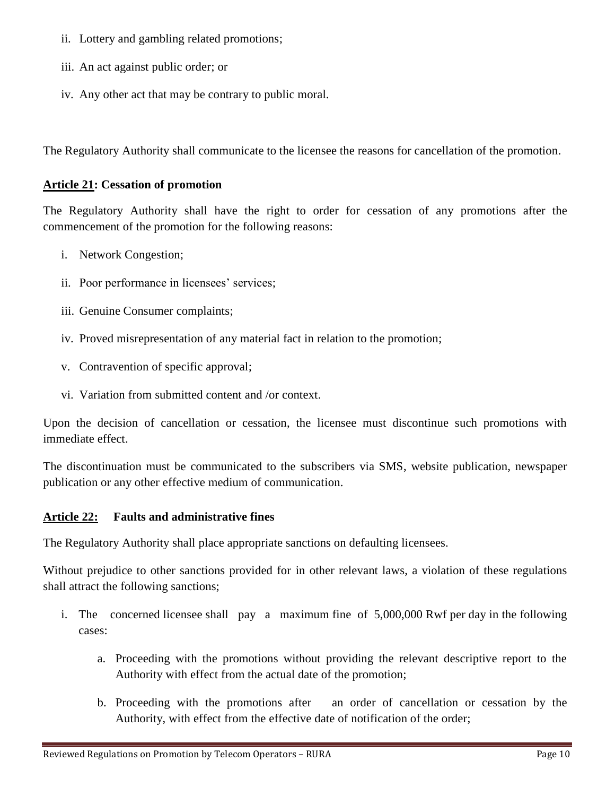- ii. Lottery and gambling related promotions;
- iii. An act against public order; or
- iv. Any other act that may be contrary to public moral.

The Regulatory Authority shall communicate to the licensee the reasons for cancellation of the promotion.

### **Article 21: Cessation of promotion**

The Regulatory Authority shall have the right to order for cessation of any promotions after the commencement of the promotion for the following reasons:

- i. Network Congestion;
- ii. Poor performance in licensees' services;
- iii. Genuine Consumer complaints;
- iv. Proved misrepresentation of any material fact in relation to the promotion;
- v. Contravention of specific approval;
- vi. Variation from submitted content and /or context.

Upon the decision of cancellation or cessation, the licensee must discontinue such promotions with immediate effect.

The discontinuation must be communicated to the subscribers via SMS, website publication, newspaper publication or any other effective medium of communication.

## **Article 22: Faults and administrative fines**

The Regulatory Authority shall place appropriate sanctions on defaulting licensees.

Without prejudice to other sanctions provided for in other relevant laws, a violation of these regulations shall attract the following sanctions;

- i. The concerned licensee shall pay a maximum fine of 5,000,000 Rwf per day in the following cases:
	- a. Proceeding with the promotions without providing the relevant descriptive report to the Authority with effect from the actual date of the promotion;
	- b. Proceeding with the promotions after an order of cancellation or cessation by the Authority, with effect from the effective date of notification of the order;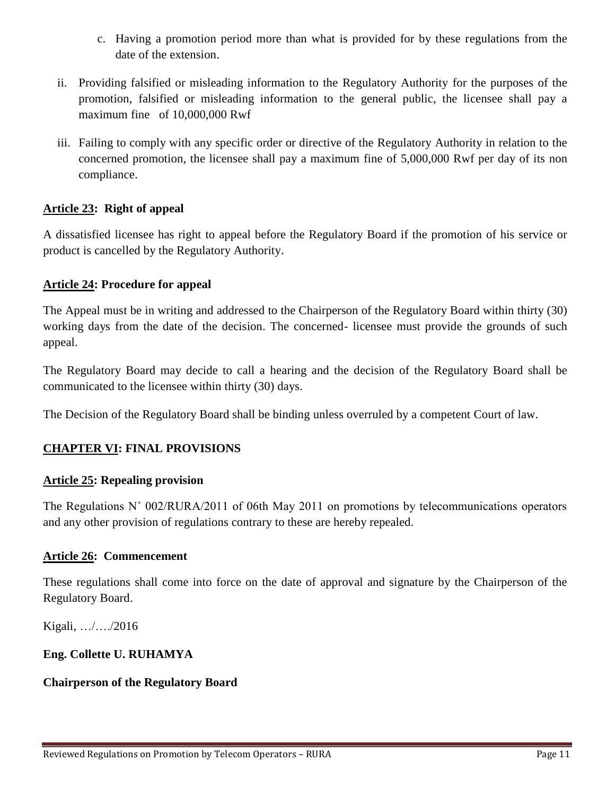- c. Having a promotion period more than what is provided for by these regulations from the date of the extension.
- ii. Providing falsified or misleading information to the Regulatory Authority for the purposes of the promotion, falsified or misleading information to the general public, the licensee shall pay a maximum fine of 10,000,000 Rwf
- iii. Failing to comply with any specific order or directive of the Regulatory Authority in relation to the concerned promotion, the licensee shall pay a maximum fine of 5,000,000 Rwf per day of its non compliance.

## **Article 23: Right of appeal**

A dissatisfied licensee has right to appeal before the Regulatory Board if the promotion of his service or product is cancelled by the Regulatory Authority.

## **Article 24: Procedure for appeal**

The Appeal must be in writing and addressed to the Chairperson of the Regulatory Board within thirty (30) working days from the date of the decision. The concerned- licensee must provide the grounds of such appeal.

The Regulatory Board may decide to call a hearing and the decision of the Regulatory Board shall be communicated to the licensee within thirty (30) days.

The Decision of the Regulatory Board shall be binding unless overruled by a competent Court of law.

## **CHAPTER VI: FINAL PROVISIONS**

## **Article 25: Repealing provision**

The Regulations N° 002/RURA/2011 of 06th May 2011 on promotions by telecommunications operators and any other provision of regulations contrary to these are hereby repealed.

## **Article 26: Commencement**

These regulations shall come into force on the date of approval and signature by the Chairperson of the Regulatory Board.

Kigali, …/…./2016

## **Eng. Collette U. RUHAMYA**

## **Chairperson of the Regulatory Board**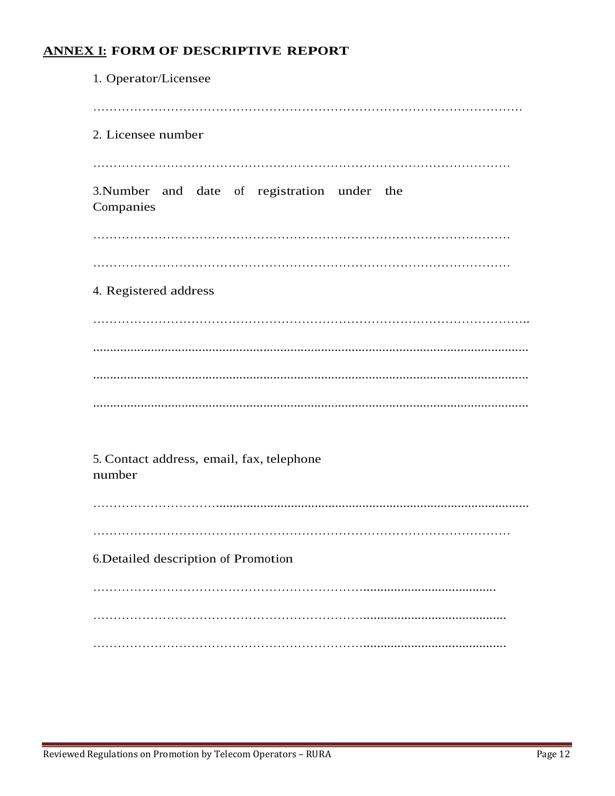# **ANNEX I: FORM OF DESCRIPTIVE REPORT**

| 1. Operator/Licensee                                      |
|-----------------------------------------------------------|
|                                                           |
| 2. Licensee number                                        |
|                                                           |
| 3. Number and date of registration under the<br>Companies |
|                                                           |
|                                                           |
| 4. Registered address                                     |
|                                                           |
|                                                           |
|                                                           |
|                                                           |
|                                                           |
| 5. Contact address, email, fax, telephone<br>number       |
|                                                           |
|                                                           |
| 6. Detailed description of Promotion                      |
|                                                           |
|                                                           |
|                                                           |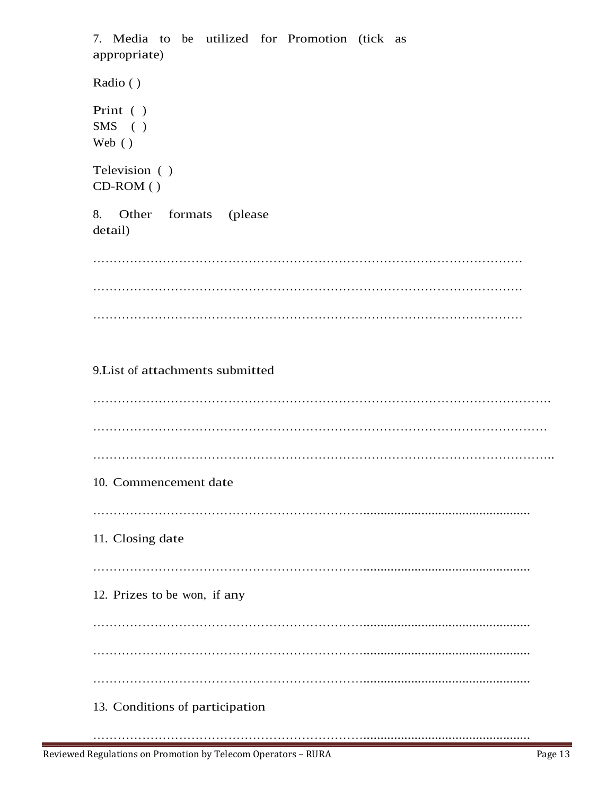| 7. Media to be utilized for Promotion (tick as<br>appropriate) |
|----------------------------------------------------------------|
| Radio ()                                                       |
| Print ()<br>$SMS$ ( )<br>Web $(\ )$                            |
| Television ()<br>$CD-ROM$ ( )                                  |
| 8. Other formats (please<br>detail)                            |
|                                                                |
|                                                                |
|                                                                |
| 9. List of attachments submitted                               |
|                                                                |
|                                                                |
| 10. Commencement date                                          |
|                                                                |
| 11. Closing date                                               |
| 12. Prizes to be won, if any                                   |
|                                                                |
|                                                                |
|                                                                |
| 13. Conditions of participation                                |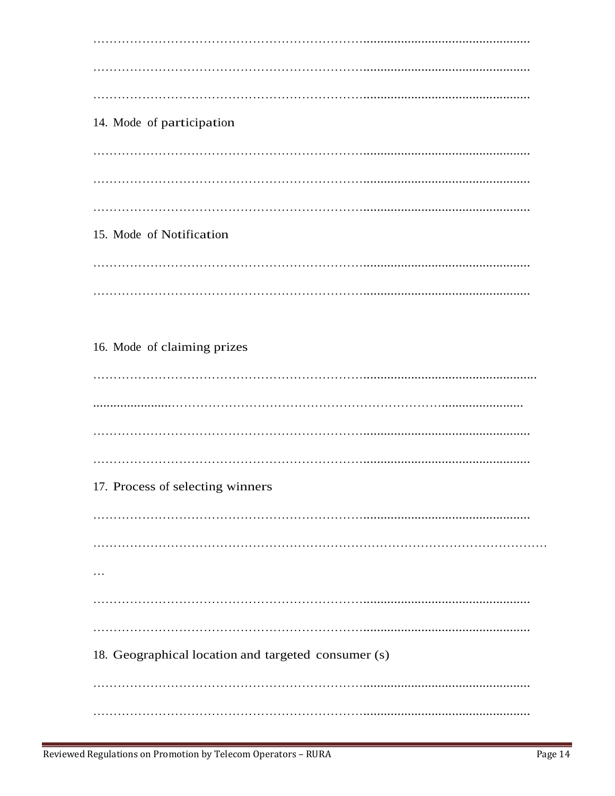14. Mode of participation 15. Mode of Notification 16. Mode of claiming prizes 17. Process of selecting winners  $\ldots$ 18. Geographical location and targeted consumer (s)